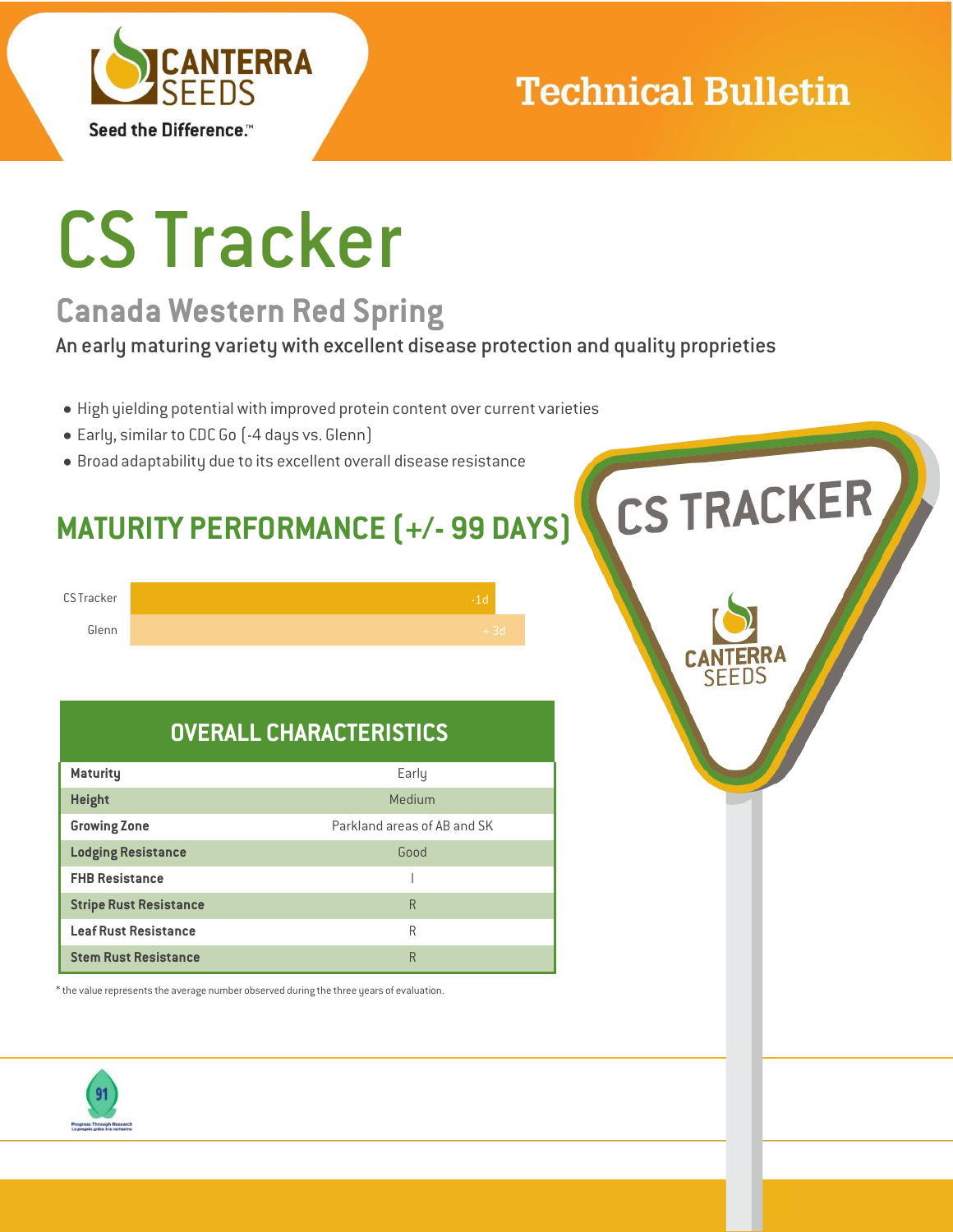

## **Technical Bulletin**

**CS TRACKER** 

# CS Tracker

## **Canada Western Red Spring**

An early maturing variety with excellent disease protection and quality proprieties

- High yielding potential with improved protein content over current varieties
- Early, similar to CDC Go (-4 days vs. Glenn)
- Broad adaptability due to its excellent overall disease resistance

## **MATURITY PERFORMANCE (+/- 99 DAYS)**



### **OVERALL CHARACTERISTICS**

| <b>Maturity</b>               | Early                       |
|-------------------------------|-----------------------------|
| <b>Height</b>                 | Medium                      |
| <b>Growing Zone</b>           | Parkland areas of AB and SK |
| <b>Lodging Resistance</b>     | Good                        |
| <b>FHB Resistance</b>         |                             |
| <b>Stripe Rust Resistance</b> | R                           |
| <b>Leaf Rust Resistance</b>   | R                           |
| <b>Stem Rust Resistance</b>   | R                           |

 $^\ast$  the value represents the average number observed during the three years of evaluation.